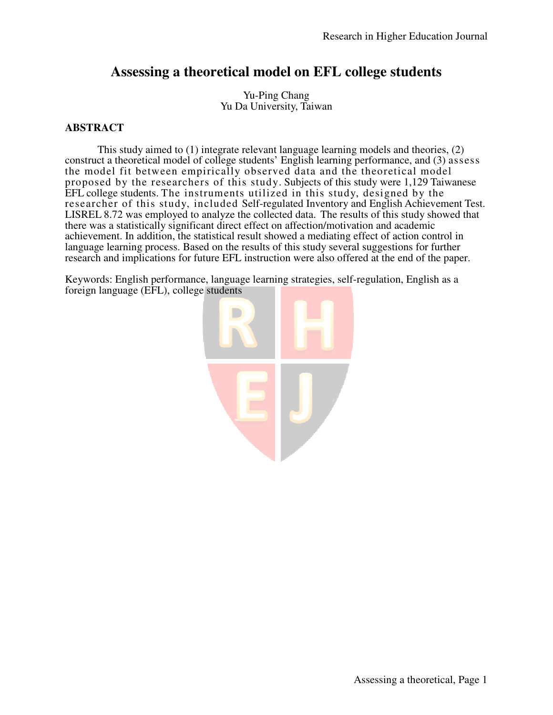# **Assessing a theoretical model on EFL college students**

Yu-Ping Chang Yu Da University, Taiwan

# **ABSTRACT**

This study aimed to (1) integrate relevant language learning models and theories, (2) construct a theoretical model of college students' English learning performance, and (3) assess the model fit between empirically observed data and the theoretical model proposed by the researchers of this study. Subjects of this study were 1,129 Taiwanese EFL college students. The instruments utilized in this study, designed by the researcher of this study, included Self-regulated Inventory and English Achievement Test. LISREL 8.72 was employed to analyze the collected data. The results of this study showed that there was a statistically significant direct effect on affection/motivation and academic achievement. In addition, the statistical result showed a mediating effect of action control in language learning process. Based on the results of this study several suggestions for further research and implications for future EFL instruction were also offered at the end of the paper.

Keywords: English performance, language learning strategies, self-regulation, English as a foreign language (EFL), college students

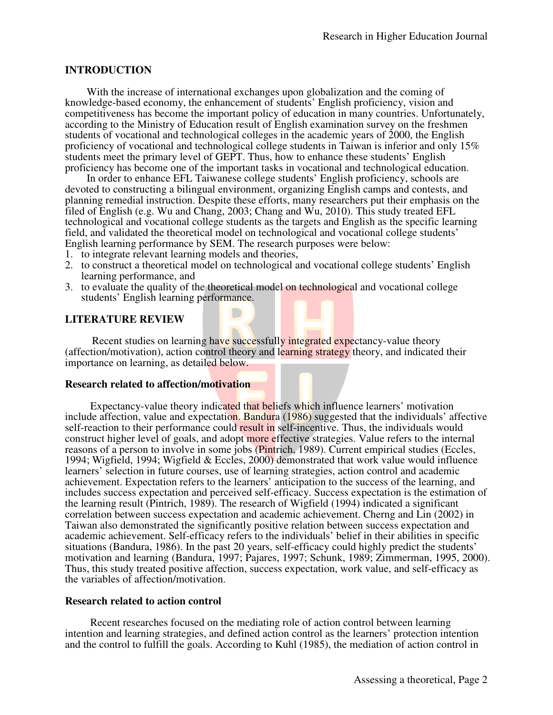# **INTRODUCTION**

With the increase of international exchanges upon globalization and the coming of knowledge-based economy, the enhancement of students' English proficiency, vision and competitiveness has become the important policy of education in many countries. Unfortunately, according to the Ministry of Education result of English examination survey on the freshmen students of vocational and technological colleges in the academic years of 2000, the English proficiency of vocational and technological college students in Taiwan is inferior and only 15% students meet the primary level of GEPT. Thus, how to enhance these students' English proficiency has become one of the important tasks in vocational and technological education.

In order to enhance EFL Taiwanese college students' English proficiency, schools are devoted to constructing a bilingual environment, organizing English camps and contests, and planning remedial instruction. Despite these efforts, many researchers put their emphasis on the filed of English (e.g. Wu and Chang, 2003; Chang and Wu, 2010). This study treated EFL technological and vocational college students as the targets and English as the specific learning field, and validated the theoretical model on technological and vocational college students' English learning performance by SEM. The research purposes were below:

- 1. to integrate relevant learning models and theories,
- 2. to construct a theoretical model on technological and vocational college students' English learning performance, and
- 3. to evaluate the quality of the theoretical model on technological and vocational college students' English learning performance.

### **LITERATURE REVIEW**

Recent studies on learning have successfully integrated expectancy-value theory (affection/motivation), action control theory and learning strategy theory, and indicated their importance on learning, as detailed below.

#### **Research related to affection/motivation**

Expectancy-value theory indicated that beliefs which influence learners' motivation include affection, value and expectation. Bandura (1986) suggested that the individuals' affective self-reaction to their performance could result in self-incentive. Thus, the individuals would construct higher level of goals, and adopt more effective strategies. Value refers to the internal reasons of a person to involve in some jobs (Pintrich, 1989). Current empirical studies (Eccles, 1994; Wigfield, 1994; Wigfield & Eccles, 2000) demonstrated that work value would influence learners' selection in future courses, use of learning strategies, action control and academic achievement. Expectation refers to the learners' anticipation to the success of the learning, and includes success expectation and perceived self-efficacy. Success expectation is the estimation of the learning result (Pintrich, 1989). The research of Wigfield (1994) indicated a significant correlation between success expectation and academic achievement. Cherng and Lin (2002) in Taiwan also demonstrated the significantly positive relation between success expectation and academic achievement. Self-efficacy refers to the individuals' belief in their abilities in specific situations (Bandura, 1986). In the past 20 years, self-efficacy could highly predict the students' motivation and learning (Bandura, 1997; Pajares, 1997; Schunk, 1989; Zimmerman, 1995, 2000). Thus, this study treated positive affection, success expectation, work value, and self-efficacy as the variables of affection/motivation.

#### **Research related to action control**

Recent researches focused on the mediating role of action control between learning intention and learning strategies, and defined action control as the learners' protection intention and the control to fulfill the goals. According to Kuhl (1985), the mediation of action control in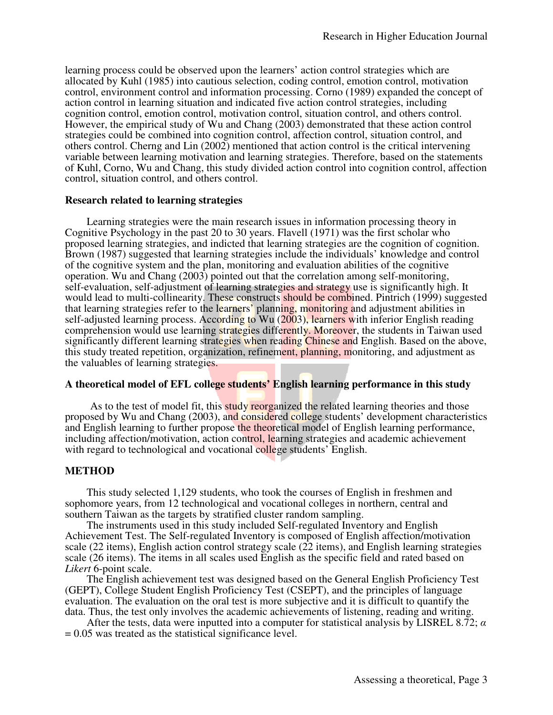learning process could be observed upon the learners' action control strategies which are allocated by Kuhl (1985) into cautious selection, coding control, emotion control, motivation control, environment control and information processing. Corno (1989) expanded the concept of action control in learning situation and indicated five action control strategies, including cognition control, emotion control, motivation control, situation control, and others control. However, the empirical study of Wu and Chang (2003) demonstrated that these action control strategies could be combined into cognition control, affection control, situation control, and others control. Cherng and Lin (2002) mentioned that action control is the critical intervening variable between learning motivation and learning strategies. Therefore, based on the statements of Kuhl, Corno, Wu and Chang, this study divided action control into cognition control, affection control, situation control, and others control.

#### **Research related to learning strategies**

Learning strategies were the main research issues in information processing theory in Cognitive Psychology in the past 20 to 30 years. Flavell (1971) was the first scholar who proposed learning strategies, and indicted that learning strategies are the cognition of cognition. Brown (1987) suggested that learning strategies include the individuals' knowledge and control of the cognitive system and the plan, monitoring and evaluation abilities of the cognitive operation. Wu and Chang (2003) pointed out that the correlation among self-monitoring, self-evaluation, self-adjustment of learning strategies and strategy use is significantly high. It would lead to multi-collinearity. These constructs should be combined. Pintrich (1999) suggested that learning strategies refer to the learners' planning, monitoring and adjustment abilities in self-adjusted learning process. According to Wu (2003), learners with inferior English reading comprehension would use learning strategies differently. Moreover, the students in Taiwan used significantly different learning strategies when reading Chinese and English. Based on the above, this study treated repetition, organization, refinement, planning, monitoring, and adjustment as the valuables of learning strategies.

# **A theoretical model of EFL college students' English learning performance in this study**

As to the test of model fit, this study reorganized the related learning theories and those proposed by Wu and Chang (2003), and considered college students' development characteristics and English learning to further propose the theoretical model of English learning performance, including affection/motivation, action control, learning strategies and academic achievement with regard to technological and vocational college students' English.

# **METHOD**

This study selected 1,129 students, who took the courses of English in freshmen and sophomore years, from 12 technological and vocational colleges in northern, central and southern Taiwan as the targets by stratified cluster random sampling.

The instruments used in this study included Self-regulated Inventory and English Achievement Test. The Self-regulated Inventory is composed of English affection/motivation scale (22 items), English action control strategy scale (22 items), and English learning strategies scale (26 items). The items in all scales used English as the specific field and rated based on *Likert* 6-point scale.

The English achievement test was designed based on the General English Proficiency Test (GEPT), College Student English Proficiency Test (CSEPT), and the principles of language evaluation. The evaluation on the oral test is more subjective and it is difficult to quantify the data. Thus, the test only involves the academic achievements of listening, reading and writing.

After the tests, data were inputted into a computer for statistical analysis by LISREL 8.72;  $\alpha$  $= 0.05$  was treated as the statistical significance level.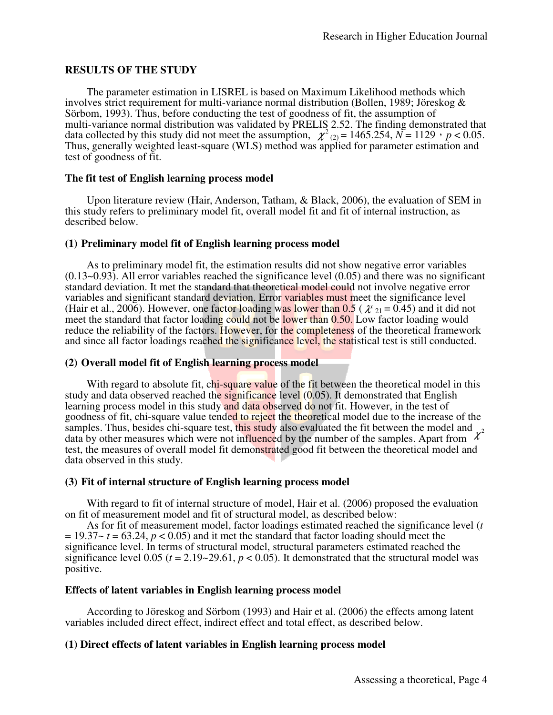# **RESULTS OF THE STUDY**

The parameter estimation in LISREL is based on Maximum Likelihood methods which involves strict requirement for multi-variance normal distribution (Bollen, 1989; Jöreskog & Sörbom, 1993). Thus, before conducting the test of goodness of fit, the assumption of multi-variance normal distribution was validated by PRELIS 2.52. The finding demonstrated that data collected by this study did not meet the assumption,  $\chi^2_{(2)} = 1465.254$ ,  $N = 1129$ ,  $p < 0.05$ . Thus, generally weighted least-square (WLS) method was applied for parameter estimation and test of goodness of fit.

#### **The fit test of English learning process model**

Upon literature review (Hair, Anderson, Tatham, & Black, 2006), the evaluation of SEM in this study refers to preliminary model fit, overall model fit and fit of internal instruction, as described below.

#### **(1) Preliminary model fit of English learning process model**

 As to preliminary model fit, the estimation results did not show negative error variables  $(0.13~0.93)$ . All error variables reached the significance level  $(0.05)$  and there was no significant standard deviation. It met the standard that theoretical model could not involve negative error variables and significant standard deviation. Error variables must meet the significance level (Hair et al., 2006). However, one factor loading was lower than  $0.5$  ( $\chi_{21} = 0.45$ ) and it did not meet the standard that factor loading could not be lower than 0.50. Low factor loading would reduce the reliability of the factors. However, for the completeness of the theoretical framework and since all factor loadings reached the significance level, the statistical test is still conducted.

### **(2) Overall model fit of English learning process model**

With regard to absolute fit, chi-square value of the fit between the theoretical model in this study and data observed reached the significance level (0.05). It demonstrated that English learning process model in this study and data observed do not fit. However, in the test of goodness of fit, chi-square value tended to reject the theoretical model due to the increase of the samples. Thus, besides chi-square test, this study also evaluated the fit between the model and data by other measures which were not influenced by the number of the samples. Apart from  $\chi$ 2 test, the measures of overall model fit demonstrated good fit between the theoretical model and data observed in this study.

# **(3) Fit of internal structure of English learning process model**

With regard to fit of internal structure of model, Hair et al. (2006) proposed the evaluation on fit of measurement model and fit of structural model, as described below:

As for fit of measurement model, factor loadings estimated reached the significance level (*t*   $= 19.37 - t = 63.24$ ,  $p < 0.05$ ) and it met the standard that factor loading should meet the significance level. In terms of structural model, structural parameters estimated reached the significance level 0.05 ( $t = 2.19 \times 29.61$ ,  $p < 0.05$ ). It demonstrated that the structural model was positive.

# **Effects of latent variables in English learning process model**

According to Jöreskog and Sörbom (1993) and Hair et al. (2006) the effects among latent variables included direct effect, indirect effect and total effect, as described below.

# **(1) Direct effects of latent variables in English learning process model**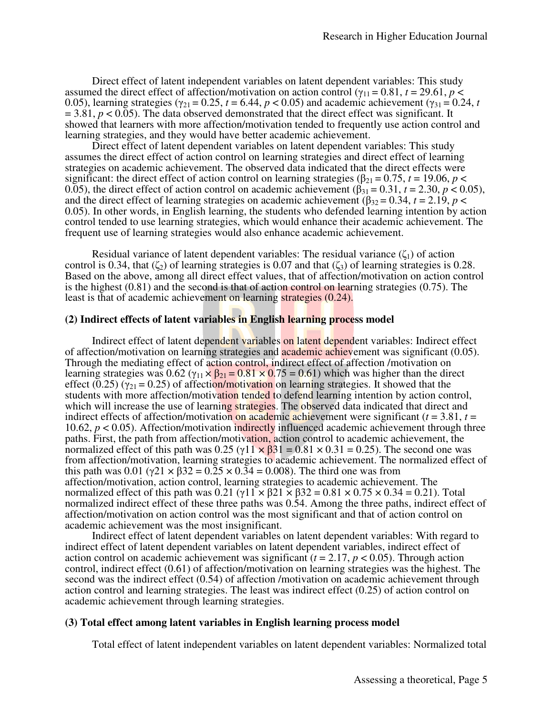Direct effect of latent independent variables on latent dependent variables: This study assumed the direct effect of affection/motivation on action control ( $\gamma_{11} = 0.81$ ,  $t = 29.61$ ,  $p <$ 0.05), learning strategies ( $\gamma_{21} = 0.25$ ,  $t = 6.44$ ,  $p < 0.05$ ) and academic achievement ( $\gamma_{31} = 0.24$ ,  $t = 0.24$ )  $= 3.81, p < 0.05$ ). The data observed demonstrated that the direct effect was significant. It showed that learners with more affection/motivation tended to frequently use action control and learning strategies, and they would have better academic achievement.

Direct effect of latent dependent variables on latent dependent variables: This study assumes the direct effect of action control on learning strategies and direct effect of learning strategies on academic achievement. The observed data indicated that the direct effects were significant: the direct effect of action control on learning strategies ( $\beta_{21} = 0.75$ ,  $t = 19.06$ ,  $p <$ 0.05), the direct effect of action control on academic achievement  $(\beta_{31} = 0.31, t = 2.30, p < 0.05)$ , and the direct effect of learning strategies on academic achievement ( $\beta_{32} = 0.34$ ,  $t = 2.19$ ,  $p <$ 0.05). In other words, in English learning, the students who defended learning intention by action control tended to use learning strategies, which would enhance their academic achievement. The frequent use of learning strategies would also enhance academic achievement.

Residual variance of latent dependent variables: The residual variance  $(\zeta_1)$  of action control is 0.34, that  $(\zeta_2)$  of learning strategies is 0.07 and that  $(\zeta_3)$  of learning strategies is 0.28. Based on the above, among all direct effect values, that of affection/motivation on action control is the highest  $(0.81)$  and the second is that of action control on learning strategies  $(0.75)$ . The least is that of academic achievement on learning strategies (0.24).

#### **(2) Indirect effects of latent variables in English learning process model**

Indirect effect of latent dependent variables on latent dependent variables: Indirect effect of affection/motivation on learning strategies and academic achievement was significant (0.05). Through the mediating effect of action control, indirect effect of affection /motivation on learning strategies was  $0.62$  ( $\gamma_{11} \times \beta_{21} = 0.81 \times 0.75 = 0.61$ ) which was higher than the direct effect (0.25) ( $\gamma_{21}$  = 0.25) of affection/motivation on learning strategies. It showed that the students with more affection/motivation tended to defend learning intention by action control, which will increase the use of learning strategies. The observed data indicated that direct and indirect effects of affection/motivation on academic achievement were significant ( $t = 3.81$ ,  $t =$ 10.62, *p* < 0.05). Affection/motivation indirectly influenced academic achievement through three paths. First, the path from affection/motivation, action control to academic achievement, the normalized effect of this path was  $0.25$  ( $\gamma$ 11  $\times$   $\beta$ 31 = 0.81  $\times$  0.31 = 0.25). The second one was from affection/motivation, learning strategies to academic achievement. The normalized effect of this path was 0.01 (γ21  $\times$  β32 = 0.25  $\times$  0.34 = 0.008). The third one was from affection/motivation, action control, learning strategies to academic achievement. The normalized effect of this path was  $0.21 \times (11 \times 621 \times 632) = 0.81 \times 0.75 \times 0.34 = 0.21$ . Total normalized indirect effect of these three paths was 0.54. Among the three paths, indirect effect of affection/motivation on action control was the most significant and that of action control on academic achievement was the most insignificant.

Indirect effect of latent dependent variables on latent dependent variables: With regard to indirect effect of latent dependent variables on latent dependent variables, indirect effect of action control on academic achievement was significant ( $t = 2.17$ ,  $p < 0.05$ ). Through action control, indirect effect (0.61) of affection/motivation on learning strategies was the highest. The second was the indirect effect (0.54) of affection /motivation on academic achievement through action control and learning strategies. The least was indirect effect (0.25) of action control on academic achievement through learning strategies.

#### **(3) Total effect among latent variables in English learning process model**

Total effect of latent independent variables on latent dependent variables: Normalized total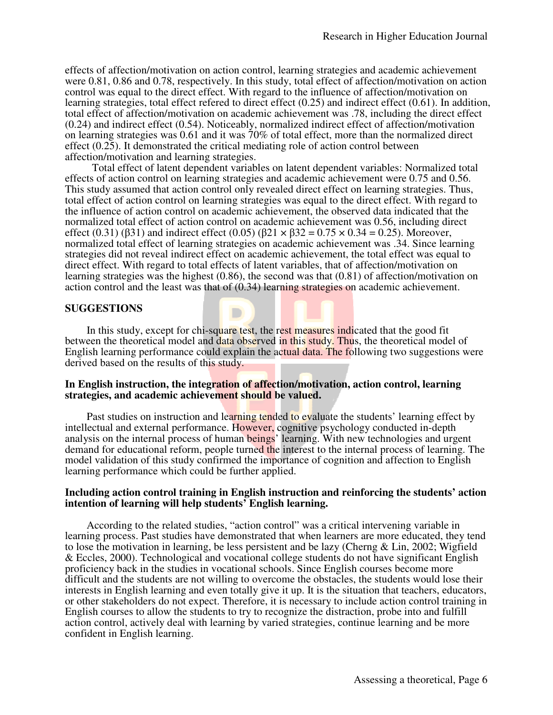effects of affection/motivation on action control, learning strategies and academic achievement were 0.81, 0.86 and 0.78, respectively. In this study, total effect of affection/motivation on action control was equal to the direct effect. With regard to the influence of affection/motivation on learning strategies, total effect refered to direct effect (0.25) and indirect effect (0.61). In addition, total effect of affection/motivation on academic achievement was .78, including the direct effect (0.24) and indirect effect (0.54). Noticeably, normalized indirect effect of affection/motivation on learning strategies was 0.61 and it was 70% of total effect, more than the normalized direct effect (0.25). It demonstrated the critical mediating role of action control between affection/motivation and learning strategies.

Total effect of latent dependent variables on latent dependent variables: Normalized total effects of action control on learning strategies and academic achievement were 0.75 and 0.56. This study assumed that action control only revealed direct effect on learning strategies. Thus, total effect of action control on learning strategies was equal to the direct effect. With regard to the influence of action control on academic achievement, the observed data indicated that the normalized total effect of action control on academic achievement was 0.56, including direct effect (0.31) (β31) and indirect effect (0.05) (β21 × β32 = 0.75 × 0.34 = 0.25). Moreover, normalized total effect of learning strategies on academic achievement was .34. Since learning strategies did not reveal indirect effect on academic achievement, the total effect was equal to direct effect. With regard to total effects of latent variables, that of affection/motivation on learning strategies was the highest (0.86), the second was that (0.81) of affection/motivation on action control and the least was that of (0.34) learning strategies on academic achievement.

#### **SUGGESTIONS**

In this study, except for chi-square test, the rest measures indicated that the good fit between the theoretical model and data observed in this study. Thus, the theoretical model of English learning performance could explain the actual data. The following two suggestions were derived based on the results of this study.

#### **In English instruction, the integration of affection/motivation, action control, learning strategies, and academic achievement should be valued.**

 $\Box$ 

Past studies on instruction and learning tended to evaluate the students' learning effect by intellectual and external performance. However, cognitive psychology conducted in-depth analysis on the internal process of human beings' learning. With new technologies and urgent demand for educational reform, people turned the interest to the internal process of learning. The model validation of this study confirmed the importance of cognition and affection to English learning performance which could be further applied.

#### **Including action control training in English instruction and reinforcing the students' action intention of learning will help students' English learning.**

According to the related studies, "action control" was a critical intervening variable in learning process. Past studies have demonstrated that when learners are more educated, they tend to lose the motivation in learning, be less persistent and be lazy (Cherng & Lin, 2002; Wigfield & Eccles, 2000). Technological and vocational college students do not have significant English proficiency back in the studies in vocational schools. Since English courses become more difficult and the students are not willing to overcome the obstacles, the students would lose their interests in English learning and even totally give it up. It is the situation that teachers, educators, or other stakeholders do not expect. Therefore, it is necessary to include action control training in English courses to allow the students to try to recognize the distraction, probe into and fulfill action control, actively deal with learning by varied strategies, continue learning and be more confident in English learning.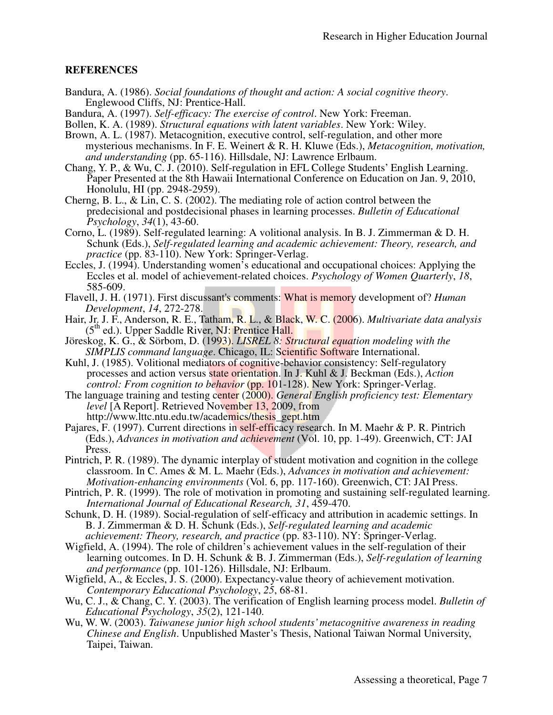# **REFERENCES**

- Bandura, A. (1986). *Social foundations of thought and action: A social cognitive theory*. Englewood Cliffs, NJ: Prentice-Hall.
- Bandura, A. (1997). *Self-efficacy: The exercise of control*. New York: Freeman.
- Bollen, K. A. (1989). *Structural equations with latent variables*. New York: Wiley.
- Brown, A. L. (1987). Metacognition, executive control, self-regulation, and other more mysterious mechanisms. In F. E. Weinert & R. H. Kluwe (Eds.), *Metacognition, motivation, and understanding* (pp. 65-116). Hillsdale, NJ: Lawrence Erlbaum.
- Chang, Y. P., & Wu, C. J. (2010). Self-regulation in EFL College Students' English Learning. Paper Presented at the 8th Hawaii International Conference on Education on Jan. 9, 2010, Honolulu, HI (pp. 2948-2959).
- Cherng, B. L., & Lin, C. S. (2002). The mediating role of action control between the predecisional and postdecisional phases in learning processes. *Bulletin of Educational Psychology*, *34*(1), 43-60.
- Corno, L. (1989). Self-regulated learning: A volitional analysis. In B. J. Zimmerman & D. H. Schunk (Eds.), *Self-regulated learning and academic achievement: Theory, research, and practice* (pp. 83-110). New York: Springer-Verlag.
- Eccles, J. (1994). Understanding women's educational and occupational choices: Applying the Eccles et al. model of achievement-related choices. *Psychology of Women Quarterly*, *18*, 585-609.
- Flavell, J. H. (1971). First discussant's comments: What is memory development of? *Human Development*, *14*, 272-278.
- Hair, Jr. J. F., Anderson, R. E., Tatham, R. L., & Black, W. C. (2006). *Multivariate data analysis*   $(5<sup>th</sup>$  ed.). Upper Saddle River, NJ: Prentice Hall.
- Jöreskog, K. G., & Sörbom, D. (1993). *LISREL 8: Structural equation modeling with the SIMPLIS command language*. Chicago, IL: Scientific Software International.
- Kuhl, J. (1985). Volitional mediators of cognitive-behavior consistency: Self-regulatory processes and action versus state orientation. In J. Kuhl & J. Beckman (Eds.), *Action control: From cognition to behavior* (pp. 101-128). New York: Springer-Verlag.
- The language training and testing center (2000). *General English proficiency test: Elementary level* [A Report]. Retrieved November 13, 2009, from http://www.lttc.ntu.edu.tw/academics/thesis\_gept.htm
- Pajares, F. (1997). Current directions in self-efficacy research. In M. Maehr & P. R. Pintrich (Eds.), *Advances in motivation and achievement* (Vol. 10, pp. 1-49). Greenwich, CT: JAI Press.
- Pintrich, P. R. (1989). The dynamic interplay of student motivation and cognition in the college classroom. In C. Ames & M. L. Maehr (Eds.), *Advances in motivation and achievement: Motivation-enhancing environments* (Vol. 6, pp. 117-160). Greenwich, CT: JAI Press.
- Pintrich, P. R. (1999). The role of motivation in promoting and sustaining self-regulated learning. *International Journal of Educational Research, 31*, 459-470.
- Schunk, D. H. (1989). Social-regulation of self-efficacy and attribution in academic settings. In B. J. Zimmerman & D. H. Schunk (Eds.), *Self-regulated learning and academic achievement: Theory, research, and practice* (pp. 83-110). NY: Springer-Verlag.
- Wigfield, A. (1994). The role of children's achievement values in the self-regulation of their learning outcomes. In D. H. Schunk & B. J. Zimmerman (Eds.), *Self-regulation of learning and performance* (pp. 101-126). Hillsdale, NJ: Erlbaum.
- Wigfield, A., & Eccles, J. S. (2000). Expectancy-value theory of achievement motivation. *Contemporary Educational Psychology*, *25*, 68-81.
- Wu, C. J., & Chang, C. Y. (2003). The verification of English learning process model. *Bulletin of Educational Psychology*, *35*(2), 121-140.
- Wu, W. W. (2003). *Taiwanese junior high school students' metacognitive awareness in reading Chinese and English*. Unpublished Master's Thesis, National Taiwan Normal University, Taipei, Taiwan.